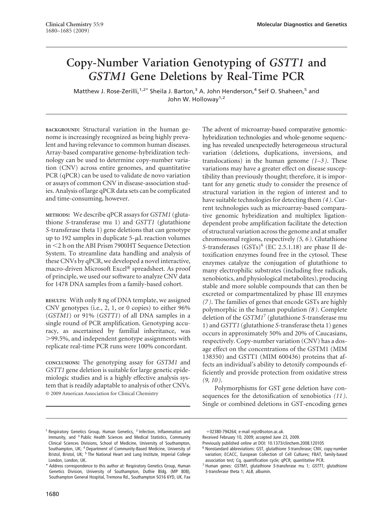# **Copy-Number Variation Genotyping of** *GSTT1* **and** *GSTM1* **Gene Deletions by Real-Time PCR**

Matthew J. Rose-Zerilli,<sup>1,2\*</sup> Sheila J. Barton,<sup>3</sup> A. John Henderson,<sup>4</sup> Seif O. Shaheen,<sup>5</sup> and John W. Holloway<sup>1,2</sup>

**BACKGROUND:** Structural variation in the human genome is increasingly recognized as being highly prevalent and having relevance to common human diseases. Array-based comparative genome-hybridization technology can be used to determine copy-number variation (CNV) across entire genomes, and quantitative PCR (qPCR) can be used to validate de novo variation or assays of common CNV in disease-association studies. Analysis of large qPCR data sets can be complicated and time-consuming, however.

**METHODS:** We describe qPCR assays for *GSTM1* (glutathione *S*-transferase mu 1) and *GSTT1* (glutathione *S*-transferase theta 1) gene deletions that can genotype up to 192 samples in duplicate  $5-\mu L$  reaction volumes in 2 h on the ABI Prism 7900HT Sequence Detection System. To streamline data handling and analysis of these CNVs by qPCR, we developed a novel interactive, macro-driven Microsoft Excel® spreadsheet. As proof of principle, we used our software to analyze CNV data for 1478 DNA samples from a family-based cohort.

**RESULTS:** With only 8 ng of DNA template, we assigned CNV genotypes (i.e., 2, 1, or 0 copies) to either 96% (*GSTM1*) or 91% (*GSTT1*) of all DNA samples in a single round of PCR amplification. Genotyping accuracy, as ascertained by familial inheritance, was -99.5%, and independent genotype assignments with replicate real-time PCR runs were 100% concordant.

**CONCLUSIONS:** The genotyping assay for *GSTM1* and *GSTT1* gene deletion is suitable for large genetic epidemiologic studies and is a highly effective analysis system that is readily adaptable to analysis of other CNVs. © 2009 American Association for Clinical Chemistry

The advent of microarray-based comparative genomichybridization technologies and whole-genome sequencing has revealed unexpectedly heterogeneous structural variation (deletions, duplications, inversions, and translocations) in the human genome *(1–3 )*. These variations may have a greater effect on disease susceptibility than previously thought; therefore, it is important for any genetic study to consider the presence of structural variation in the region of interest and to have suitable technologies for detecting them *(4 )*. Current technologies such as microarray-based comparative genomic hybridization and multiplex ligationdependent probe amplification facilitate the detection of structural variation across the genome and at smaller chromosomal regions, respectively *(5, 6 )*. Glutathione *S*-transferases  $(GSTs)^6$  (EC 2.5.1.18) are phase II detoxification enzymes found free in the cytosol. These enzymes catalyze the conjugation of glutathione to many electrophilic substrates (including free radicals, xenobiotics, and physiological metabolites), producing stable and more soluble compounds that can then be excreted or compartmentalized by phase III enzymes *(7 )*. The families of genes that encode GSTs are highly polymorphic in the human population *(8 )*. Complete deletion of the *GSTM1*<sup>7</sup> (glutathione *S*-transferase mu 1) and *GSTT1* (glutathione *S*-transferase theta 1) genes occurs in approximately 50% and 20% of Caucasians, respectively. Copy-number variation (CNV) has a dosage effect on the concentrations of the GSTM1 (MIM 138350) and GSTT1 (MIM 600436) proteins that affects an individual's ability to detoxify compounds efficiently and provide protection from oxidative stress *(9, 10 )*.

Polymorphisms for GST gene deletion have consequences for the detoxification of xenobiotics *(11 )*. Single or combined deletions in GST-encoding genes

02380-794264; e-mail mjrz@soton.ac.uk.

<sup>&</sup>lt;sup>1</sup> Respiratory Genetics Group, Human Genetics, <sup>2</sup> Infection, Inflammation and Immunity, and <sup>3</sup> Public Health Sciences and Medical Statistics, Community Clinical Sciences Divisions, School of Medicine, University of Southampton, Southampton, UK; <sup>4</sup> Department of Community-Based Medicine, University of Bristol, Bristol, UK; <sup>5</sup> The National Heart and Lung Institute, Imperial College London, London, UK.

<sup>\*</sup> Address correspondence to this author at: Respiratory Genetics Group, Human Genetics Division, University of Southampton, Duthie Bldg. (MP 808), Southampton General Hospital, Tremona Rd., Southampton SO16 6YD, UK. Fax

Received February 10, 2009; accepted June 23, 2009.

Previously published online at DOI: 10.1373/clinchem.2008.120105

<sup>6</sup> Nonstandard abbreviations: GST, glutathione <sup>S</sup>-transferase; CNV, copy-number variation; ECACC, European Collection of Cell Cultures; FBAT, family-based association test; Cq, quantification cycle; qPCR, quantitative PCR.

<sup>7</sup> Human genes: GSTM1, glutathione <sup>S</sup>-transferase mu 1; GSTT1, glutathione S-transferase theta 1; ALB, albumin.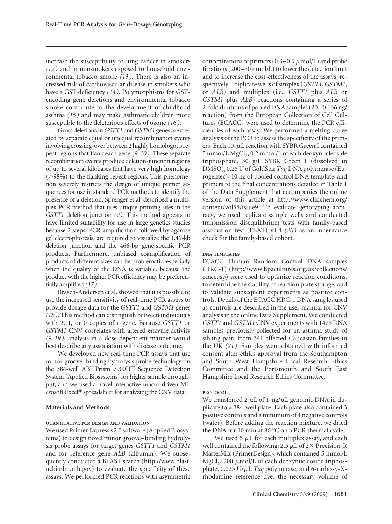increase the susceptibility to lung cancer in smokers *(12 )* and in nonsmokers exposed to household environmental tobacco smoke *(13 )*. There is also an increased risk of cardiovascular disease in smokers who have a GST deficiency *(14 )*. Polymorphisms for GSTencoding gene deletions and environmental tobacco smoke contribute to the development of childhood asthma *(15 )* and may make asthmatic children more susceptible to the deleterious effects of ozone *(16 )*.

Gross deletions in*GSTT1* and*GSTM1* genes are created by separate equal or unequal recombination events involving crossing-over between 2 highly homologous repeat regions that flank each gene *(9*, *10 )*. These separate recombination events produce deletion-junction regions of up to several kilobases that have very high homology (>98%) to the flanking repeat regions. This phenomenon severely restricts the design of unique primer sequences for use in standard PCR methods to identify the presence of a deletion. Sprenger et al. described a multiplex PCR method that uses unique priming sites in the *GSTT1* deletion junction *(9 )*. This method appears to have limited suitability for use in large genetics studies because 2 steps, PCR amplification followed by agarose gel electrophoresis, are required to visualize the 1.46-kb deletion junction and the 466-bp gene-specific PCR products. Furthermore, unbiased coamplification of products of different sizes can be problematic, especially when the quality of the DNA is variable, because the product with the higher PCR efficiency may be preferentially amplified *(17 )*.

Brasch-Andersen et al. showed that it is possible to use the increased sensitivity of real-time PCR assays to provide dosage data for the *GSTT1* and *GSTM1* genes *(18 )*. This method can distinguish between individuals with 2, 1, or 0 copies of a gene. Because *GSTT1* or *GSTM1* CNV correlates with altered enzyme activity *(9, 19 )*, analysis in a dose-dependent manner would best describe any association with disease outcome.

We developed new real-time PCR assays that use minor groove–binding hydrolysis probe technology on the 384-well ABI Prism 7900HT Sequence Detection System (Applied Biosystems) for higher sample throughput, and we used a novel interactive macro-driven Microsoft Excel<sup>®</sup> spreadsheet for analyzing the CNV data.

## **Materials and Methods**

## **QUANTITATIVE PCR DESIGN AND VALIDATION**

We used Primer Express v2.0 software (Applied Biosystems) to design novel minor groove– binding hydrolysis probe assays for target genes *GSTT1* and *GSTM1* and for reference gene *ALB* (albumin). We subsequently conducted a BLAST search (http://www.blast. ncbi.nlm.nih.gov) to evaluate the specificity of these assays. We performed PCR reactions with asymmetric concentrations of primers  $(0.3-0.9 \mu \text{mol/L})$  and probe titrations (200 –50 nmol/L) to lower the detection limit and to increase the cost-effectiveness of the assays, respectively. Triplicate wells of simplex (*GSTT1*,*GSTM1*, or *ALB*) and multiplex (i.e., *GSTT1* plus *ALB* or *GSTM1* plus *ALB*) reactions containing a series of 2-fold dilutions of pooled DNA samples (20 –0.156 ng/ reaction) from the European Collection of Cell Cultures (ECACC) were used to determine the PCR efficiencies of each assay. We performed a melting-curve analysis of the PCR to assess the specificity of the primers. Each  $10$ - $\mu$ L reaction with SYBR Green I contained  $5 \text{ mmol/L MgCl}_2$ , 0.2 mmol/L of each deoxynucleoside triphosphate, 30 g/L SYBR Green I (dissolved in DMSO), 0.25 U of GoldStar *Taq* DNA polymerase (Eurogentec), 10 ng of pooled control DNA template, and primers to the final concentrations detailed in Table 1 of the Data Supplement that accompanies the online version of this article at http://www.clinchem.org/ content/vol55/issue9. To evaluate genotyping accuracy, we used replicate sample wells and conducted transmission disequilibrium tests with family-based association test (FBAT) v1.4 *(20 )* as an inheritance check for the family-based cohort.

#### **DNA TEMPLATES**

ECACC Human Random Control DNA samples (HRC-1) (http://www.hpacultures.org.uk/collections/ ecacc.jsp) were used to optimize reaction conditions, to determine the stability of reaction plate storage, and to validate subsequent experiments as positive controls. Details of the ECACC HRC-1 DNA samples used as controls are described in the user manual for CNV analysis in the online Data Supplement. We conducted *GSTT1* and *GSTM1* CNV experiments with 1478 DNA samples previously collected for an asthma study of sibling pairs from 341 affected Caucasian families in the UK *(21 )*. Samples were obtained with informed consent after ethics approval from the Southampton and South West Hampshire Local Research Ethics Committee and the Portsmouth and South East Hampshire Local Research Ethics Committee.

#### **PROTOCOL**

We transferred 2  $\mu$ L of 1-ng/ $\mu$ L genomic DNA in duplicate to a 384-well plate. Each plate also contained 3 positive controls and a minimum of 4 negative controls (water). Before adding the reaction mixture, we dried the DNA for 10 min at 80 °C on a PCR thermal cycler.

We used 5  $\mu$ L for each multiplex assay, and each well contained the following: 2.5  $\mu$ L of 2 $\times$  Precision-R MasterMix (PrimerDesign), which contained 5 mmol/L  $MgCl<sub>2</sub>$ , 200  $\mu$ mol/L of each deoxynucleoside triphosphate, 0.025 U/ $\mu$ L *Taq* polymerase, and 6-carboxy-Xrhodamine reference dye; the necessary volume of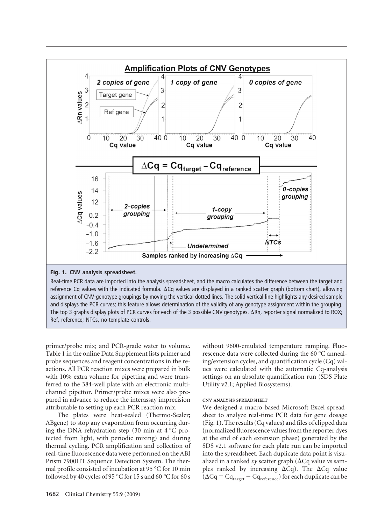

Ref, reference; NTCs, no-template controls.

primer/probe mix; and PCR-grade water to volume. Table 1 in the online Data Supplement lists primer and probe sequences and reagent concentrations in the reactions. All PCR reaction mixes were prepared in bulk with 10% extra volume for pipetting and were transferred to the 384-well plate with an electronic multichannel pipettor. Primer/probe mixes were also prepared in advance to reduce the interassay imprecision attributable to setting up each PCR reaction mix.

The plates were heat-sealed (Thermo-Sealer; ABgene) to stop any evaporation from occurring during the DNA-rehydration step (30 min at 4 °C protected from light, with periodic mixing) and during thermal cycling. PCR amplification and collection of real-time fluorescence data were performed on the ABI Prism 7900HT Sequence Detection System. The thermal profile consisted of incubation at 95 °C for 10 min followed by 40 cycles of 95 °C for 15 s and 60 °C for 60 s

without 9600-emulated temperature ramping. Fluorescence data were collected during the 60 °C annealing/extension cycles, and quantification cycle (Cq) values were calculated with the automatic Cq-analysis settings on an absolute quantification run (SDS Plate Utility v2.1; Applied Biosystems).

## **CNV ANALYSIS SPREADSHEET**

We designed a macro-based Microsoft Excel spreadsheet to analyze real-time PCR data for gene dosage (Fig. 1). The results (Cq values) and files of clipped data (normalized fluorescence values from the reporter dyes at the end of each extension phase) generated by the SDS v2.1 software for each plate run can be imported into the spreadsheet. Each duplicate data point is visualized in a ranked  $xy$  scatter graph ( $\Delta Cq$  value vs samples ranked by increasing  $\Delta Cq$ ). The  $\Delta Cq$  value  $(\Delta Cq = Cq_{\text{target}} - Cq_{\text{reference}})$  for each duplicate can be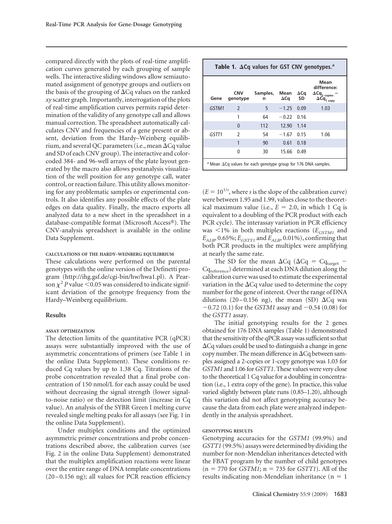compared directly with the plots of real-time amplification curves generated by each grouping of sample wells. The interactive sliding windows allow semiautomated assignment of genotype groups and outliers on the basis of the grouping of  $\Delta Cq$  values on the ranked *xy* scatter graph. Importantly, interrogation of the plots of real-time amplification curves permits rapid determination of the validity of any genotype call and allows manual correction. The spreadsheet automatically calculates CNV and frequencies of a gene present or absent, deviation from the Hardy–Weinberg equilibrium, and several QC parameters (i.e., mean  $\Delta$ Cq value and SD of each CNV group). The interactive and colorcoded 384- and 96-well arrays of the plate layout generated by the macro also allows postanalysis visualization of the well position for any genotype call, water control, or reaction failure. This utility allows monitoring for any problematic samples or experimental controls. It also identifies any possible effects of the plate edges on data quality. Finally, the macro exports all analyzed data to a new sheet in the spreadsheet in a database-compatible format (Microsoft Access®). The CNV-analysis spreadsheet is available in the online Data Supplement.

## **CALCULATIONS OF THE HARDY–WEINBERG EQUILIBRIUM**

These calculations were performed on the parental genotypes with the online version of the Definetti program (http://ihg.gsf.de/cgi-bin/hw/hwa1.pl). A Pearson  $\chi^2$  *P* value < 0.05 was considered to indicate significant deviation of the genotype frequency from the Hardy–Weinberg equilibrium.

#### **Results**

#### **ASSAY OPTIMIZATION**

The detection limits of the quantitative PCR (qPCR) assays were substantially improved with the use of asymmetric concentrations of primers (see Table 1 in the online Data Supplement). These conditions reduced Cq values by up to 1.38 Cq. Titrations of the probe concentration revealed that a final probe concentration of 150 nmol/L for each assay could be used without decreasing the signal strength (lower signalto-noise ratio) or the detection limit (increase in Cq value). An analysis of the SYBR Green I melting curve revealed single melting peaks for all assays (see Fig. 1 in the online Data Supplement).

Under multiplex conditions and the optimized asymmetric primer concentrations and probe concentrations described above, the calibration curves (see Fig. 2 in the online Data Supplement) demonstrated that the multiplex amplification reactions were linear over the entire range of DNA template concentrations  $(20 - 0.156 \text{ ng})$ ; all values for PCR reaction efficiency

| Table 1. $\Delta$ Cq values for GST CNV genotypes. <sup>a</sup>                   |                        |               |                     |                          |                                                                                                                    |  |  |  |  |  |
|-----------------------------------------------------------------------------------|------------------------|---------------|---------------------|--------------------------|--------------------------------------------------------------------------------------------------------------------|--|--|--|--|--|
| Gene                                                                              | <b>CNV</b><br>genotype | Samples,<br>n | Mean<br>$\Delta$ Cq | $\Delta$ Cq<br><b>SD</b> | Mean<br>difference:<br>$\Delta \textsf{Cq}_{\mathbf{2} \text{ copies}}$<br>$\Delta \mathsf{Cq}_{\mathsf{1\ copy}}$ |  |  |  |  |  |
| GSTM1                                                                             | $\mathcal{P}$          | 5             | $-1.25$ 0.09        |                          | 1.03                                                                                                               |  |  |  |  |  |
|                                                                                   |                        | 64            | $-0.22$             | 0.16                     |                                                                                                                    |  |  |  |  |  |
|                                                                                   | $\Omega$               | 112           | 12.90               | 1.14                     |                                                                                                                    |  |  |  |  |  |
| GSTT1                                                                             | $\mathfrak z$          | 54            | $-1.67$             | 0.15                     | 1.06                                                                                                               |  |  |  |  |  |
|                                                                                   | 1                      | 90            | 0.61                | 0.18                     |                                                                                                                    |  |  |  |  |  |
|                                                                                   | 0                      | 30            | 15.66               | 0.49                     |                                                                                                                    |  |  |  |  |  |
| <sup>a</sup> Mean $\Delta$ Cq values for each genotype group for 176 DNA samples. |                        |               |                     |                          |                                                                                                                    |  |  |  |  |  |

 $(E = 10^{1/s}$ , where *s* is the slope of the calibration curve) were between 1.95 and 1.99, values close to the theoretical maximum value (i.e.,  $E = 2.0$ , in which 1 Cq is equivalent to a doubling of the PCR product with each PCR cycle). The interassay variation in PCR efficiency was  $\leq$ 1% in both multiplex reactions ( $E_{GSTMI}$  and  $E_{ALB}$ , 0.65%;  $E_{GSTTI}$  and  $E_{ALB}$ , 0.01%), confirming that both PCR products in the multiplex were amplifying at nearly the same rate.

The SD for the mean  $\Delta Cq$  ( $\Delta Cq = Cq_{target}$  – Cq<sub>reference</sub>) determined at each DNA dilution along the calibration curve was used to estimate the experimental variation in the  $\Delta Cq$  value used to determine the copy number for the gene of interest. Over the range of DNA dilutions (20-0.156 ng), the mean (SD)  $\Delta Cq$  was  $-0.72$  (0.1) for the *GSTM1* assay and  $-0.54$  (0.08) for the *GSTT1* assay.

The initial genotyping results for the 2 genes obtained for 176 DNA samples (Table 1) demonstrated that the sensitivity of the qPCR assay was sufficient so that  $\Delta$ Cq values could be used to distinguish a change in gene copy number. The mean difference in  $\Delta Cq$  between samples assigned a 2-copies or 1-copy genotype was 1.03 for *GSTM1* and 1.06 for*GSTT1*. These values were very close to the theoretical 1 Cq value for a doubling in concentration (i.e., 1 extra copy of the gene). In practice, this value varied slightly between plate runs (0.85–1.20), although this variation did not affect genotyping accuracy because the data from each plate were analyzed independently in the analysis spreadsheet.

#### **GENOTYPING RESULTS**

Genotyping accuracies for the *GSTM1* (99.9%) and *GSTT1* (99.5%) assays were determined by dividing the number for non-Mendelian inheritances detected with the FBAT program by the number of child genotypes  $(n = 770$  for *GSTM1*;  $n = 735$  for *GSTT1*). All of the results indicating non-Mendelian inheritance  $(n = 1)$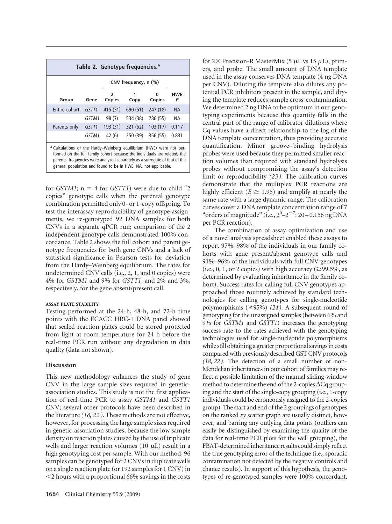| Table 2. Genotype frequencies. <sup>a</sup>                                                                                                                                                                                                                                                                   |       |                         |                      |          |                 |  |  |  |  |  |
|---------------------------------------------------------------------------------------------------------------------------------------------------------------------------------------------------------------------------------------------------------------------------------------------------------------|-------|-------------------------|----------------------|----------|-----------------|--|--|--|--|--|
|                                                                                                                                                                                                                                                                                                               |       |                         | CNV frequency, n (%) |          |                 |  |  |  |  |  |
| Group                                                                                                                                                                                                                                                                                                         | Gene  | $\mathfrak z$<br>Copies | Copy                 | Copies   | <b>HWE</b><br>P |  |  |  |  |  |
| Entire cohort                                                                                                                                                                                                                                                                                                 | GSTT1 | 415(31)                 | 690 (51)             | 247 (18) | <b>NA</b>       |  |  |  |  |  |
|                                                                                                                                                                                                                                                                                                               | GSTM1 | 98 (7)                  | 534 (38)             | 786 (55) | NА              |  |  |  |  |  |
| Parents only                                                                                                                                                                                                                                                                                                  | GSTT1 | 193 (31)                | 321 (52)             | 103(17)  | 0.117           |  |  |  |  |  |
|                                                                                                                                                                                                                                                                                                               | GSTM1 | 42(6)                   | 250 (39)             | 356 (55) | 0.831           |  |  |  |  |  |
| <sup>a</sup> Calculations of the Hardy–Weinberg equilibrium (HWE) were not per-<br>formed on the full family cohort because the individuals are related; the<br>parents' frequencies were analyzed separately as a surrogate of that of the<br>general population and found to be in HWE. NA, not applicable. |       |                         |                      |          |                 |  |  |  |  |  |

for *GSTM1*;  $n = 4$  for *GSTT1*) were due to child "2 copies" genotype calls when the parental genotype combination permitted only 0- or 1-copy offspring. To test the interassay reproducibility of genotype assignments, we re-genotyped 92 DNA samples for both CNVs in a separate qPCR run; comparison of the 2 independent genotype calls demonstrated 100% concordance. Table 2 shows the full cohort and parent genotype frequencies for both gene CNVs and a lack of statistical significance in Pearson tests for deviation from the Hardy–Weinberg equilibrium. The rates for undetermined CNV calls (i.e., 2, 1, and 0 copies) were 4% for *GSTM1* and 9% for *GSTT1*, and 2% and 3%, respectively, for the gene absent/present call.

## **ASSAY PLATE STABILITY**

Testing performed at the 24-h, 48-h, and 72-h time points with the ECACC HRC-1 DNA panel showed that sealed reaction plates could be stored protected from light at room temperature for 24 h before the real-time PCR run without any degradation in data quality (data not shown).

## **Discussion**

This new methodology enhances the study of gene CNV in the large sample sizes required in geneticassociation studies. This study is not the first application of real-time PCR to assay *GSTM1* and *GSTT1* CNV; several other protocols have been described in the literature *(18, 22 )*. These methods are not effective, however, for processing the large sample sizes required in genetic-association studies, because the low sample density on reaction plates caused by the use of triplicate wells and larger reaction volumes (10  $\mu$ L) result in a high genotyping cost per sample. With our method, 96 samples can be genotyped for 2 CNVs in duplicate wells on a single reaction plate (or 192 samples for 1 CNV) in 2 hours with a proportional 66% savings in the costs

for  $2\times$  Precision-R MasterMix (5  $\mu$ L vs 15  $\mu$ L), primers, and probe. The small amount of DNA template used in the assay conserves DNA template (4 ng DNA per CNV). Diluting the template also dilutes any potential PCR inhibitors present in the sample, and drying the template reduces sample cross-contamination. We determined 2 ng DNA to be optimum in our genotyping experiments because this quantity falls in the central part of the range of calibrator dilutions where Cq values have a direct relationship to the log of the DNA template concentration, thus providing accurate quantification. Minor groove– binding hydrolysis probes were used because they permitted smaller reaction volumes than required with standard hydrolysis probes without compromising the assay's detection limit or reproducibility *(23 )*. The calibration curves demonstrate that the multiplex PCR reactions are highly efficient ( $E \ge 1.95$ ) and amplify at nearly the same rate with a large dynamic range. The calibration curves cover a DNA template concentration range of 7 "orders of magnitude" (i.e.,  $2^0$ - $2^{-7}$ : 20 - 0.156 ng DNA per PCR reaction).

The combination of assay optimization and use of a novel analysis spreadsheet enabled these assays to report 97%–98% of the individuals in our family cohorts with gene present/absent genotype calls and 91%–96% of the individuals with full CNV genotypes (i.e., 0, 1, or 2 copies) with high accuracy ( $\geq$ 99.5%, as determined by evaluating inheritance in the family cohort). Success rates for calling full CNV genotypes approached those routinely achieved by standard technologies for calling genotypes for single-nucleotide polymorphisms  $(\geq 95\%)$  (24). A subsequent round of genotyping for the unassigned samples (between 6% and 9% for *GSTM1* and *GSTT1*) increases the genotyping success rate to the rates achieved with the genotyping technologies used for single-nucleotide polymorphisms while still obtaining a greater proportional savings in costs compared with previously described GST CNV protocols *(18, 22 )*. The detection of a small number of non-Mendelian inheritances in our cohort of families may reflect a possible limitation of the manual sliding-window method to determine the end of the 2-copies  $\Delta Cq$  grouping and the start of the single-copy grouping (i.e., 1-copy individuals could be erroneously assigned to the 2-copies group). The start and end of the 2 groupings of genotypes on the ranked *xy* scatter graph are usually distinct, however, and barring any outlying data points (outliers can easily be distinguished by examining the quality of the data for real-time PCR plots for the well grouping), the FBAT-determined inheritance results could simply reflect the true genotyping error of the technique (i.e., sporadic contamination not detected by the negative controls and chance results). In support of this hypothesis, the genotypes of re-genotyped samples were 100% concordant,